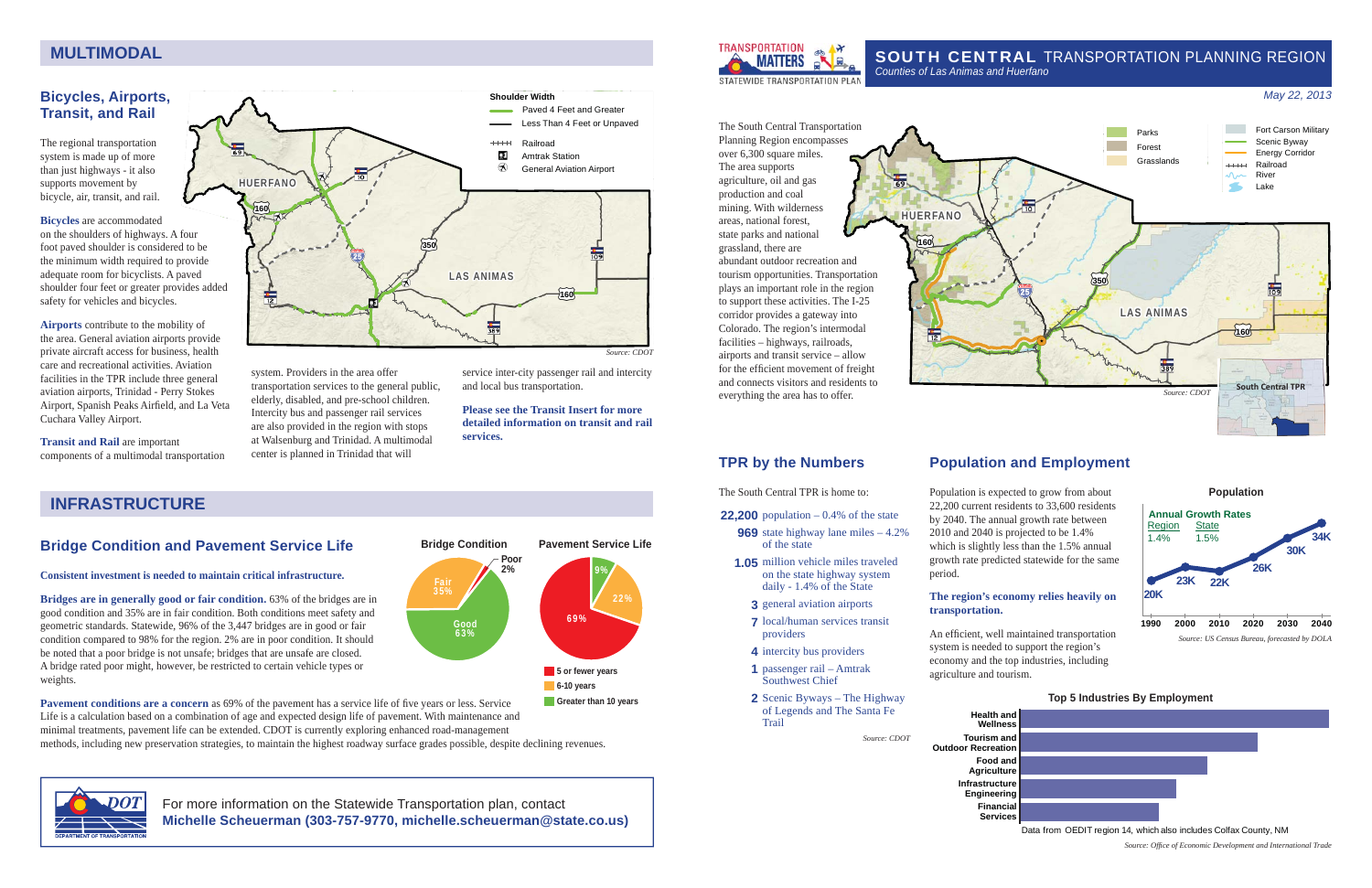**HUERFANO**

£¤**<sup>160</sup>**

# SOUTH CENTRAL TRANSPORTATION PLANNING REGION



tourism opportunities. Transportation The South Central Transportation Planning Region encompasses over 6,300 square miles. The area supports agriculture, oil and gas production and coal mining. With wilderness areas, national forest, state parks and national grassland, there are abundant outdoor recreation and plays an important role in the region to support these activities. The I-25 corridor provides a gateway into Colorado. The region's intermodal facilities – highways, railroads, airports and transit service – allow for the efficient movement of freight and connects visitors and residents to everything the area has to offer.

**22,200** population – 0.4% of the state  **969** state highway lane miles – 4.2%

**TPR by the Numbers**

The South Central TPR is home to:

of the state

 **1.05** million vehicle miles traveled on the state highway system daily - 1.4% of the State  **3** general aviation airports  **7** local/human services transit

providers

**Trail** 

 **4** intercity bus providers  **1** passenger rail – Amtrak Southwest Chief

 **2** Scenic Byways – The Highway of Legends and The Santa Fe

*Source: CDOT*

## **Bicycles, Airports, Transit, and Rail**

The regional transportation system is made up of more than just highways - it also supports movement by bicycle, air, transit, and rail.

#### **Bicycles** are accommodated

**Bridges are in generally good or fair condition.** 63% of the bridges are in good condition and 35% are in fair condition. Both conditions meet safety and geometric standards. Statewide, 96% of the 3,447 bridges are in good or fair condition compared to 98% for the region. 2% are in poor condition. It should be noted that a poor bridge is not unsafe; bridges that are unsafe are closed. A bridge rated poor might, however, be restricted to certain vehicle types or weights.

on the shoulders of highways. A four foot paved shoulder is considered to be the minimum width required to provide adequate room for bicyclists. A paved shoulder four feet or greater provides added safety for vehicles and bicycles.

**Pavement conditions are a concern** as 69% of the pavement has a service life of five years or less. Service Life is a calculation based on a combination of age and expected design life of pavement. With maintenance and minimal treatments, pavement life can be extended. CDOT is currently exploring enhanced road-management methods, including new preservation strategies, to maintain the highest roadway surface grades possible, despite declining revenues.

**Airports** contribute to the mobility of the area. General aviation airports provide private aircraft access for business, health care and recreational activities. Aviation facilities in the TPR include three general aviation airports, Trinidad - Perry Stokes Airport, Spanish Peaks Airfield, and La Veta Cuchara Valley Airport.

> An efficient, well maintained transportation system is needed to support the region's economy and the top industries, including agriculture and tourism.

**Transit and Rail** are important components of a multimodal transportation



system. Providers in the area offer transportation services to the general public, elderly, disabled, and pre-school children. Intercity bus and passenger rail services are also provided in the region with stops at Walsenburg and Trinidad. A multimodal center is planned in Trinidad that will

service inter-city passenger rail and intercity and local bus transportation.

### **Please see the Transit Insert for more detailed information on transit and rail services.**

# **Bridge Condition and Pavement Service Life**

### **Consistent investment is needed to maintain critical infrastructure.**

# **Population and Employment**

Population is expected to grow from about 22,200 current residents to 33,600 residents by 2040. The annual growth rate between 2010 and 2040 is projected to be 1.4% **Pavement Service Life Superior Contract Contract of the state Service Service Service Contract Pavement Service Life** growth rate predicted statewide for the same period.

### **The region's economy relies heavily on transportation.**

## **Top 5 Industries By Employment**

**Health and WellnessTourism and Outdoor Recreation Food and Agriculture Infrastructure Engineering**

**Financial Services**

Data from OEDIT region 14, which also includes Colfax County, NM

*Source: Offi ce of Economic Development and International Trade*

# **MULTIMODAL**

## *May 22, 2013*

# **INFRASTRUCTURE**







For more information on the Statewide Transportation plan, contact **Michelle Scheuerman (303-757-9770, michelle.scheuerman@state.co.us)**



*Source: CDOT*